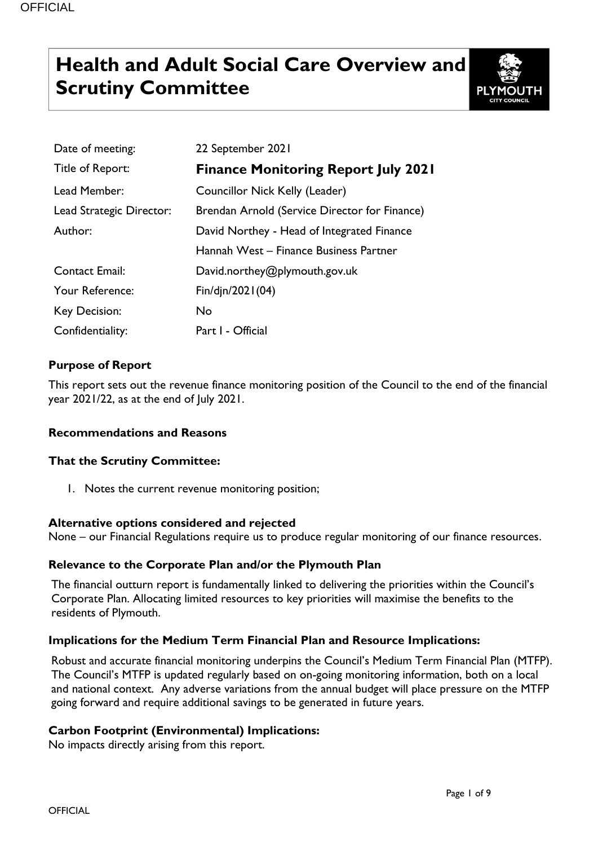# **Health and Adult Social Care Overview and Scrutiny Committee**



| Date of meeting:         | 22 September 2021                             |
|--------------------------|-----------------------------------------------|
| Title of Report:         | <b>Finance Monitoring Report July 2021</b>    |
| Lead Member:             | Councillor Nick Kelly (Leader)                |
| Lead Strategic Director: | Brendan Arnold (Service Director for Finance) |
| Author:                  | David Northey - Head of Integrated Finance    |
|                          | Hannah West – Finance Business Partner        |
| <b>Contact Email:</b>    | David.northey@plymouth.gov.uk                 |
| Your Reference:          | Fin/djn/2021(04)                              |
| <b>Key Decision:</b>     | No                                            |
| Confidentiality:         | Part I - Official                             |

# **Purpose of Report**

This report sets out the revenue finance monitoring position of the Council to the end of the financial year 2021/22, as at the end of July 2021.

# **Recommendations and Reasons**

# **That the Scrutiny Committee:**

1. Notes the current revenue monitoring position;

#### **Alternative options considered and rejected**

None – our Financial Regulations require us to produce regular monitoring of our finance resources.

# **Relevance to the Corporate Plan and/or the Plymouth Plan**

The financial outturn report is fundamentally linked to delivering the priorities within the Council's Corporate Plan. Allocating limited resources to key priorities will maximise the benefits to the residents of Plymouth.

# **Implications for the Medium Term Financial Plan and Resource Implications:**

Robust and accurate financial monitoring underpins the Council's Medium Term Financial Plan (MTFP). The Council's MTFP is updated regularly based on on-going monitoring information, both on a local and national context. Any adverse variations from the annual budget will place pressure on the MTFP going forward and require additional savings to be generated in future years.

# **Carbon Footprint (Environmental) Implications:**

No impacts directly arising from this report.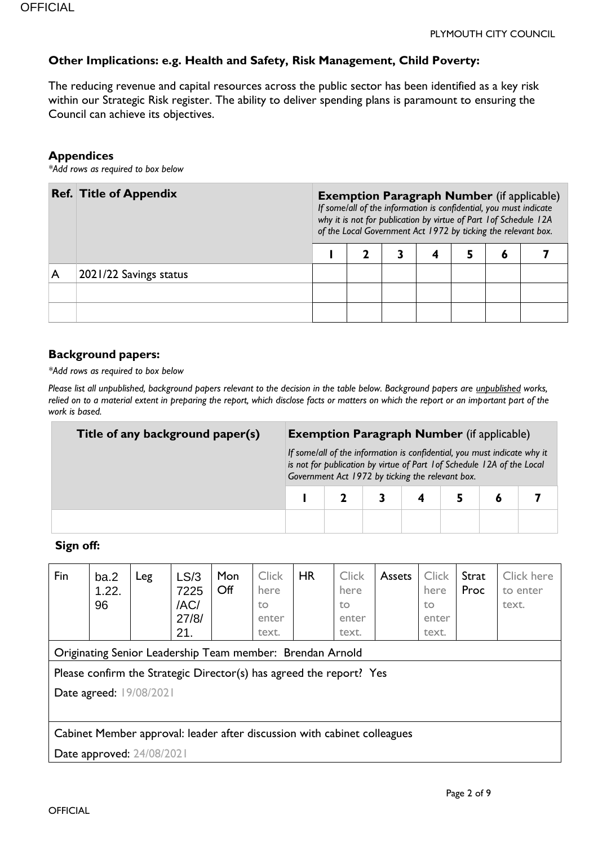# **Other Implications: e.g. Health and Safety, Risk Management, Child Poverty:**

The reducing revenue and capital resources across the public sector has been identified as a key risk within our Strategic Risk register. The ability to deliver spending plans is paramount to ensuring the Council can achieve its objectives.

#### **Appendices**

*\*Add rows as required to box below*

|   | <b>Ref. Title of Appendix</b> | <b>Exemption Paragraph Number</b> (if applicable)<br>If some/all of the information is confidential, you must indicate<br>why it is not for publication by virtue of Part 1 of Schedule 12A<br>of the Local Government Act 1972 by ticking the relevant box. |  |  |  |  |  |  |
|---|-------------------------------|--------------------------------------------------------------------------------------------------------------------------------------------------------------------------------------------------------------------------------------------------------------|--|--|--|--|--|--|
|   |                               | O                                                                                                                                                                                                                                                            |  |  |  |  |  |  |
| A | 2021/22 Savings status        |                                                                                                                                                                                                                                                              |  |  |  |  |  |  |
|   |                               |                                                                                                                                                                                                                                                              |  |  |  |  |  |  |
|   |                               |                                                                                                                                                                                                                                                              |  |  |  |  |  |  |

#### **Background papers:**

*\*Add rows as required to box below*

*Please list all unpublished, background papers relevant to the decision in the table below. Background papers are unpublished works, relied on to a material extent in preparing the report, which disclose facts or matters on which the report or an important part of the work is based.*

| Title of any background paper(s) | <b>Exemption Paragraph Number</b> (if applicable) |  |  |                                                  |                                                                                                                                                     |  |  |  |
|----------------------------------|---------------------------------------------------|--|--|--------------------------------------------------|-----------------------------------------------------------------------------------------------------------------------------------------------------|--|--|--|
|                                  |                                                   |  |  | Government Act 1972 by ticking the relevant box. | If some/all of the information is confidential, you must indicate why it<br>is not for publication by virtue of Part 1 of Schedule 12A of the Local |  |  |  |
|                                  |                                                   |  |  |                                                  |                                                                                                                                                     |  |  |  |
|                                  |                                                   |  |  |                                                  |                                                                                                                                                     |  |  |  |

#### **Sign off:**

| Fin | ba.2<br>1.22.<br>96       | Leg | LS/3<br>7225<br>/AC/<br>27/8/<br>21.                                     | Mon<br>Off | <b>Click</b><br>here<br>to<br>enter<br>text. | <b>HR</b> | <b>Click</b><br>here<br>to<br>enter<br>text. | <b>Assets</b> | <b>Click</b><br>here<br>to<br>enter<br>text. | Strat<br>Proc | Click here<br>to enter<br>text. |
|-----|---------------------------|-----|--------------------------------------------------------------------------|------------|----------------------------------------------|-----------|----------------------------------------------|---------------|----------------------------------------------|---------------|---------------------------------|
|     |                           |     | Originating Senior Leadership Team member: Brendan Arnold                |            |                                              |           |                                              |               |                                              |               |                                 |
|     |                           |     | Please confirm the Strategic Director(s) has agreed the report? Yes      |            |                                              |           |                                              |               |                                              |               |                                 |
|     | Date agreed: 19/08/2021   |     |                                                                          |            |                                              |           |                                              |               |                                              |               |                                 |
|     |                           |     |                                                                          |            |                                              |           |                                              |               |                                              |               |                                 |
|     |                           |     | Cabinet Member approval: leader after discussion with cabinet colleagues |            |                                              |           |                                              |               |                                              |               |                                 |
|     | Date approved: 24/08/2021 |     |                                                                          |            |                                              |           |                                              |               |                                              |               |                                 |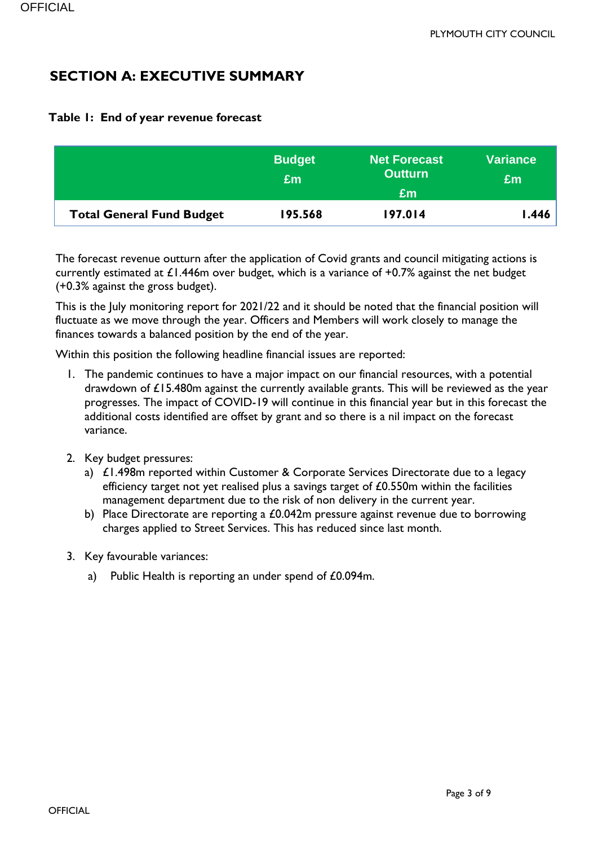# **SECTION A: EXECUTIVE SUMMARY**

|                                  | <b>Budget</b><br>Em | <b>Net Forecast</b><br><b>Outturn</b><br>£m | <b>Variance</b><br>£m |
|----------------------------------|---------------------|---------------------------------------------|-----------------------|
| <b>Total General Fund Budget</b> | 195.568             | 197.014                                     | 446. ا                |

# **Table 1: End of year revenue forecast**

The forecast revenue outturn after the application of Covid grants and council mitigating actions is currently estimated at  $£1.446$ m over budget, which is a variance of +0.7% against the net budget (+0.3% against the gross budget).

This is the July monitoring report for 2021/22 and it should be noted that the financial position will fluctuate as we move through the year. Officers and Members will work closely to manage the finances towards a balanced position by the end of the year.

Within this position the following headline financial issues are reported:

- 1. The pandemic continues to have a major impact on our financial resources, with a potential drawdown of £15.480m against the currently available grants. This will be reviewed as the year progresses. The impact of COVID-19 will continue in this financial year but in this forecast the additional costs identified are offset by grant and so there is a nil impact on the forecast variance.
- 2. Key budget pressures:
	- a) £1.498m reported within Customer & Corporate Services Directorate due to a legacy efficiency target not yet realised plus a savings target of £0.550m within the facilities management department due to the risk of non delivery in the current year.
	- b) Place Directorate are reporting a £0.042m pressure against revenue due to borrowing charges applied to Street Services. This has reduced since last month.
- 3. Key favourable variances:
	- a) Public Health is reporting an under spend of £0.094m.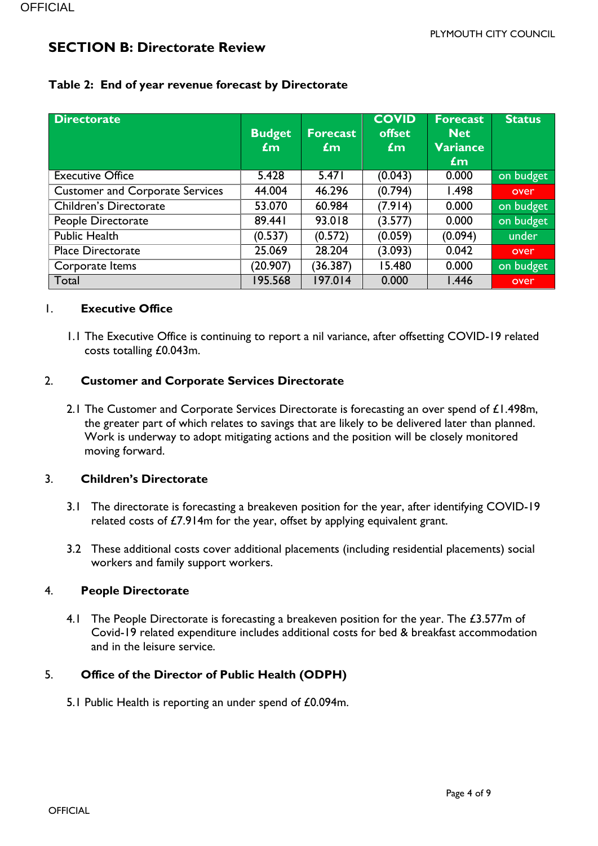# **SECTION B: Directorate Review**

| <b>Directorate</b>                     | <b>Budget</b><br>$\mathbf{f}$ m | <b>Forecast</b><br>$\mathbf{f}$ m | <b>COVID</b><br>offset<br>$\mathbf{f}$ m | <b>Forecast</b><br><b>Net</b><br>Variance<br>£m | <b>Status</b> |
|----------------------------------------|---------------------------------|-----------------------------------|------------------------------------------|-------------------------------------------------|---------------|
| <b>Executive Office</b>                | 5.428                           | 5.471                             | (0.043)                                  | 0.000                                           | on budget     |
| <b>Customer and Corporate Services</b> | 44.004                          | 46.296                            | (0.794)                                  | 1.498                                           | over          |
| <b>Children's Directorate</b>          | 53.070                          | 60.984                            | (7.914)                                  | 0.000                                           | on budget     |
| People Directorate                     | 89.441                          | 93.018                            | (3.577)                                  | 0.000                                           | on budget     |
| <b>Public Health</b>                   | (0.537)                         | (0.572)                           | (0.059)                                  | (0.094)                                         | under         |
| <b>Place Directorate</b>               | 25.069                          | 28.204                            | (3.093)                                  | 0.042                                           | over          |
| Corporate Items                        | (20.907)                        | (36.387)                          | 15.480                                   | 0.000                                           | on budget     |
| Total                                  | 195.568                         | 197.014                           | 0.000                                    | 1.446                                           | over          |

# **Table 2: End of year revenue forecast by Directorate**

#### 1. **Executive Office**

1.1 The Executive Office is continuing to report a nil variance, after offsetting COVID-19 related costs totalling £0.043m.

#### 2. **Customer and Corporate Services Directorate**

2.1 The Customer and Corporate Services Directorate is forecasting an over spend of £1.498m, the greater part of which relates to savings that are likely to be delivered later than planned. Work is underway to adopt mitigating actions and the position will be closely monitored moving forward.

#### 3. **Children's Directorate**

- 3.1 The directorate is forecasting a breakeven position for the year, after identifying COVID-19 related costs of £7.914m for the year, offset by applying equivalent grant.
- 3.2 These additional costs cover additional placements (including residential placements) social workers and family support workers.

#### 4. **People Directorate**

4.1 The People Directorate is forecasting a breakeven position for the year. The £3.577m of Covid-19 related expenditure includes additional costs for bed & breakfast accommodation and in the leisure service.

# 5. **Office of the Director of Public Health (ODPH)**

5.1 Public Health is reporting an under spend of £0.094m.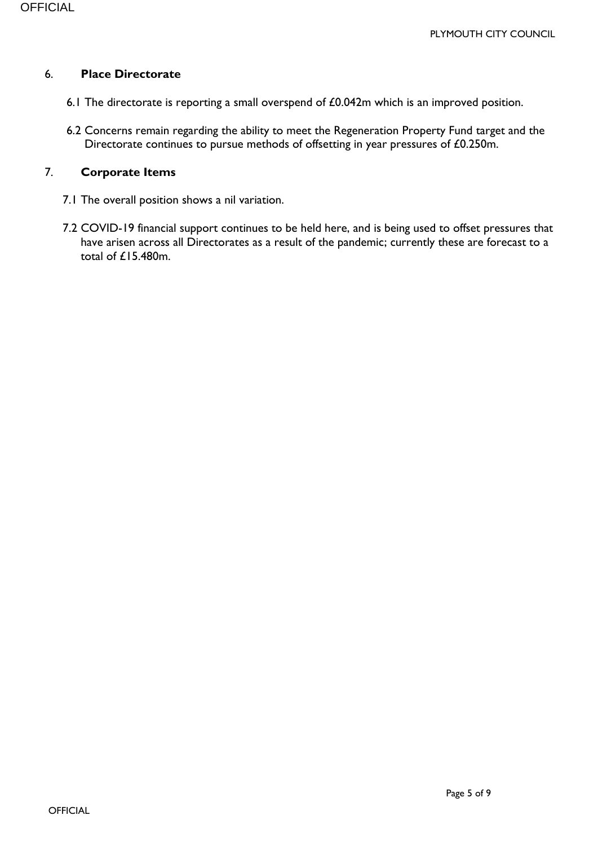#### 6. **Place Directorate**

- 6.1 The directorate is reporting a small overspend of £0.042m which is an improved position.
- 6.2 Concerns remain regarding the ability to meet the Regeneration Property Fund target and the Directorate continues to pursue methods of offsetting in year pressures of £0.250m.

#### 7. **Corporate Items**

- 7.1 The overall position shows a nil variation.
- 7.2 COVID-19 financial support continues to be held here, and is being used to offset pressures that have arisen across all Directorates as a result of the pandemic; currently these are forecast to a total of £15.480m.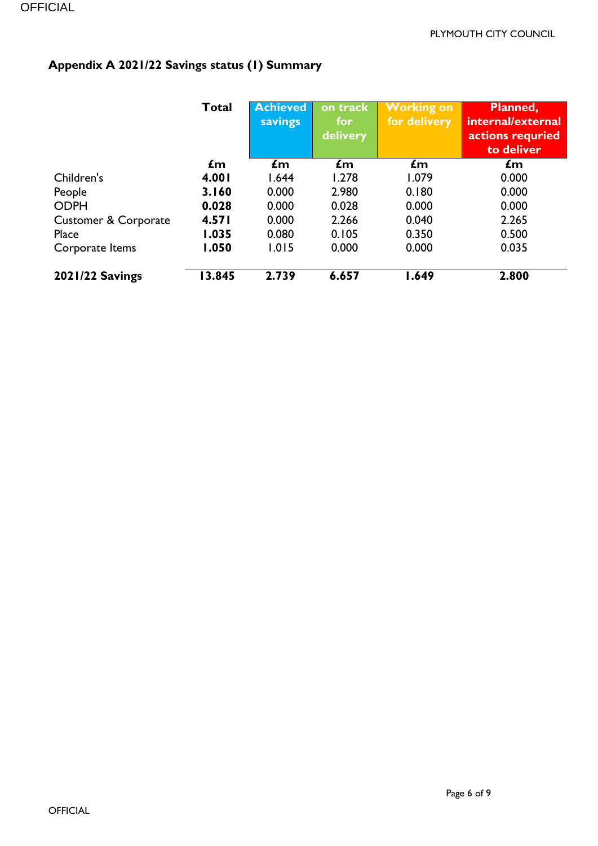# **Appendix A 2021/22 Savings status (1) Summary**

|                                 | Total | <b>Achieved</b><br>savings | on track<br>for<br><b>delivery</b> | <b>Working on</b><br>for delivery | Planned,<br>internal/external<br>actions requried<br>to deliver |
|---------------------------------|-------|----------------------------|------------------------------------|-----------------------------------|-----------------------------------------------------------------|
|                                 | £m    | $\mathbf{f}$ m             | £m                                 | $\mathbf{f}$ m                    | £m                                                              |
| Children's                      | 4.001 | 1.644                      | 1.278                              | 1.079                             | 0.000                                                           |
| People                          | 3.160 | 0.000                      | 2.980                              | 0.180                             | 0.000                                                           |
| <b>ODPH</b>                     | 0.028 | 0.000                      | 0.028                              | 0.000                             | 0.000                                                           |
| <b>Customer &amp; Corporate</b> | 4.571 | 0.000                      | 2.266                              | 0.040                             | 2.265                                                           |
| Place                           | 1.035 | 0.080                      | 0.105                              | 0.350                             | 0.500                                                           |
| Corporate Items                 | 1.050 | 1.015                      | 0.000                              | 0.000                             | 0.035                                                           |
| <b>2021/22 Savings</b>          | 3.845 | 2.739                      | 6.657                              | 1.649                             | 2.800                                                           |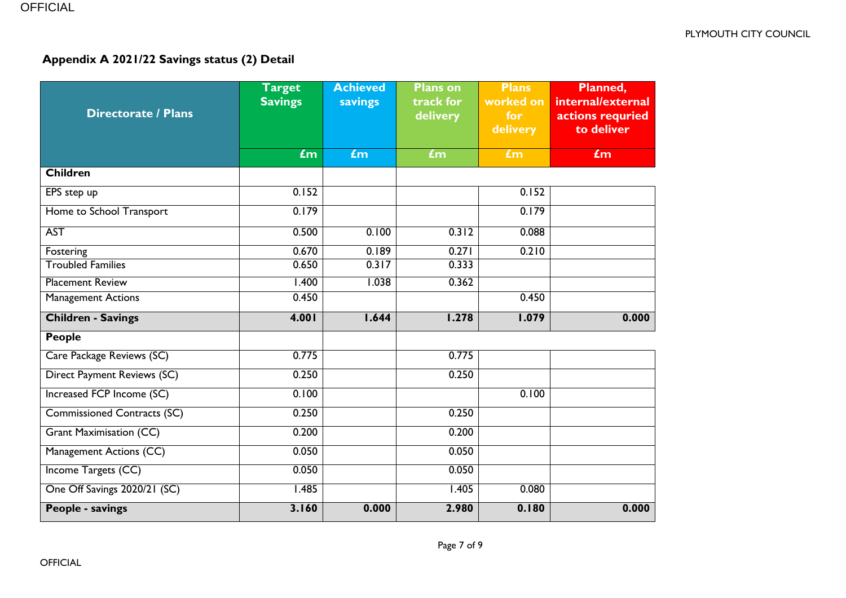# **Appendix A 2021/22 Savings status (2) Detail**

| <b>Directorate / Plans</b>         | <b>Target</b><br><b>Savings</b> | <b>Achieved</b><br>savings | <b>Plans on</b><br>track for<br>delivery | <b>Plans</b><br>worked on<br>for<br>delivery | Planned,<br>internal/external<br>actions requried<br>to deliver |
|------------------------------------|---------------------------------|----------------------------|------------------------------------------|----------------------------------------------|-----------------------------------------------------------------|
|                                    | $f_{\rm m}$                     | £m                         | £m                                       | £m                                           | £m                                                              |
| <b>Children</b>                    |                                 |                            |                                          |                                              |                                                                 |
| EPS step up                        | 0.152                           |                            |                                          | 0.152                                        |                                                                 |
| Home to School Transport           | 0.179                           |                            |                                          | 0.179                                        |                                                                 |
| <b>AST</b>                         | 0.500                           | 0.100                      | 0.312                                    | 0.088                                        |                                                                 |
| Fostering                          | 0.670                           | 0.189                      | 0.271                                    | 0.210                                        |                                                                 |
| <b>Troubled Families</b>           | 0.650                           | 0.317                      | 0.333                                    |                                              |                                                                 |
| <b>Placement Review</b>            | 1.400                           | 1.038                      | 0.362                                    |                                              |                                                                 |
| <b>Management Actions</b>          | 0.450                           |                            |                                          | 0.450                                        |                                                                 |
| <b>Children - Savings</b>          | 4.001                           | 1.644                      | 1.278                                    | 1.079                                        | 0.000                                                           |
| <b>People</b>                      |                                 |                            |                                          |                                              |                                                                 |
| Care Package Reviews (SC)          | 0.775                           |                            | 0.775                                    |                                              |                                                                 |
| Direct Payment Reviews (SC)        | 0.250                           |                            | 0.250                                    |                                              |                                                                 |
| Increased FCP Income (SC)          | 0.100                           |                            |                                          | 0.100                                        |                                                                 |
| <b>Commissioned Contracts (SC)</b> | 0.250                           |                            | 0.250                                    |                                              |                                                                 |
| <b>Grant Maximisation (CC)</b>     | 0.200                           |                            | 0.200                                    |                                              |                                                                 |
| Management Actions (CC)            | 0.050                           |                            | 0.050                                    |                                              |                                                                 |
| Income Targets (CC)                | 0.050                           |                            | 0.050                                    |                                              |                                                                 |
| One Off Savings 2020/21 (SC)       | 1.485                           |                            | 1.405                                    | 0.080                                        |                                                                 |
| People - savings                   | 3.160                           | 0.000                      | 2.980                                    | 0.180                                        | 0.000                                                           |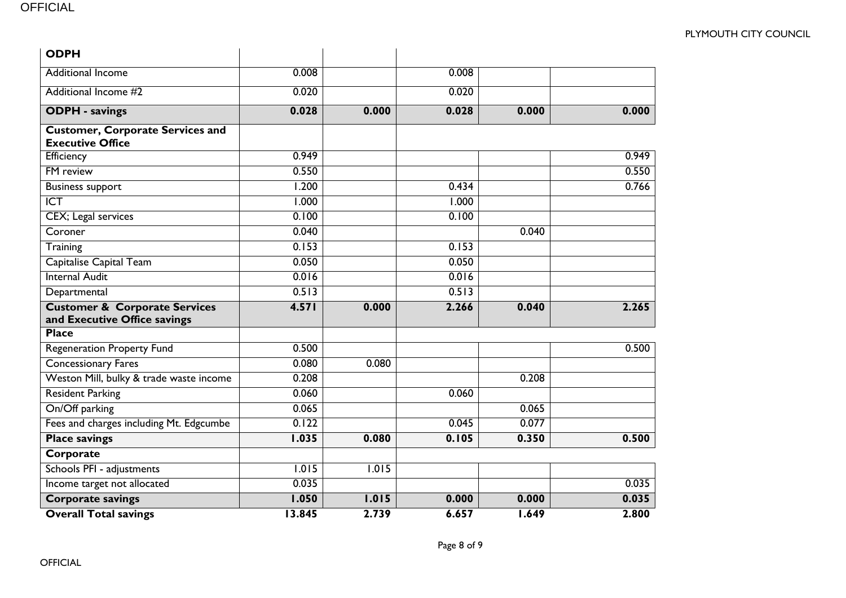| <b>ODPH</b>                                                              |        |       |       |       |       |
|--------------------------------------------------------------------------|--------|-------|-------|-------|-------|
| <b>Additional Income</b>                                                 | 0.008  |       | 0.008 |       |       |
| Additional Income #2                                                     | 0.020  |       | 0.020 |       |       |
| <b>ODPH</b> - savings                                                    | 0.028  | 0.000 | 0.028 | 0.000 | 0.000 |
| <b>Customer, Corporate Services and</b><br><b>Executive Office</b>       |        |       |       |       |       |
| Efficiency                                                               | 0.949  |       |       |       | 0.949 |
| <b>FM</b> review                                                         | 0.550  |       |       |       | 0.550 |
| <b>Business support</b>                                                  | 1.200  |       | 0.434 |       | 0.766 |
| $\overline{ICT}$                                                         | 1.000  |       | 1.000 |       |       |
| <b>CEX</b> ; Legal services                                              | 0.100  |       | 0.100 |       |       |
| Coroner                                                                  | 0.040  |       |       | 0.040 |       |
| Training                                                                 | 0.153  |       | 0.153 |       |       |
| Capitalise Capital Team                                                  | 0.050  |       | 0.050 |       |       |
| <b>Internal Audit</b>                                                    | 0.016  |       | 0.016 |       |       |
| Departmental                                                             | 0.513  |       | 0.513 |       |       |
| <b>Customer &amp; Corporate Services</b><br>and Executive Office savings | 4.571  | 0.000 | 2.266 | 0.040 | 2.265 |
| <b>Place</b>                                                             |        |       |       |       |       |
| <b>Regeneration Property Fund</b>                                        | 0.500  |       |       |       | 0.500 |
| <b>Concessionary Fares</b>                                               | 0.080  | 0.080 |       |       |       |
| Weston Mill, bulky & trade waste income                                  | 0.208  |       |       | 0.208 |       |
| <b>Resident Parking</b>                                                  | 0.060  |       | 0.060 |       |       |
| On/Off parking                                                           | 0.065  |       |       | 0.065 |       |
| Fees and charges including Mt. Edgcumbe                                  | 0.122  |       | 0.045 | 0.077 |       |
| <b>Place savings</b>                                                     | 1.035  | 0.080 | 0.105 | 0.350 | 0.500 |
| Corporate                                                                |        |       |       |       |       |
| Schools PFI - adjustments                                                | 1.015  | 1.015 |       |       |       |
| Income target not allocated                                              | 0.035  |       |       |       | 0.035 |
| <b>Corporate savings</b>                                                 | 1.050  | 1.015 | 0.000 | 0.000 | 0.035 |
| <b>Overall Total savings</b>                                             | 13.845 | 2.739 | 6.657 | 1.649 | 2.800 |